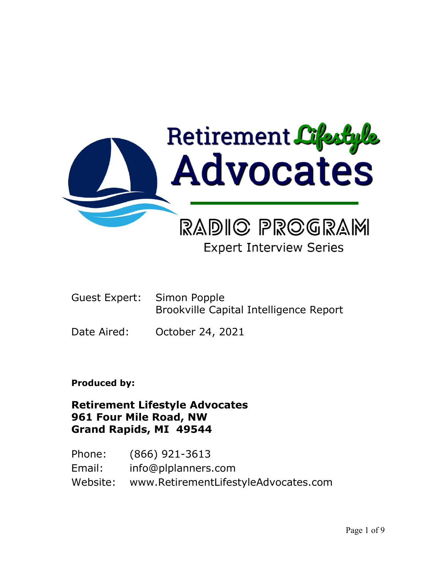

# **Expert Interview Series**

- Guest Expert: Simon Popple Brookville Capital Intelligence Report
- Date Aired: October 24, 2021

# **Produced by:**

# **Retirement Lifestyle Advocates 961 Four Mile Road, NW Grand Rapids, MI 49544**

Phone: (866) 921-3613 Email: info@plplanners.com Website: www.RetirementLifestyleAdvocates.com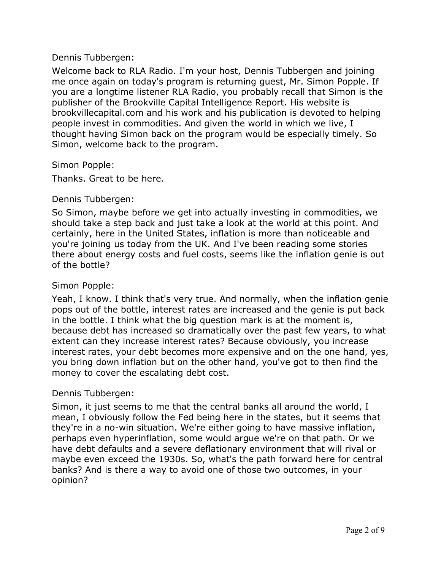## Dennis Tubbergen:

Welcome back to RLA Radio. I'm your host, Dennis Tubbergen and joining me once again on today's program is returning guest, Mr. Simon Popple. If you are a longtime listener RLA Radio, you probably recall that Simon is the publisher of the Brookville Capital Intelligence Report. His website is brookvillecapital.com and his work and his publication is devoted to helping people invest in commodities. And given the world in which we live, I thought having Simon back on the program would be especially timely. So Simon, welcome back to the program.

#### Simon Popple:

Thanks. Great to be here.

## Dennis Tubbergen:

So Simon, maybe before we get into actually investing in commodities, we should take a step back and just take a look at the world at this point. And certainly, here in the United States, inflation is more than noticeable and you're joining us today from the UK. And I've been reading some stories there about energy costs and fuel costs, seems like the inflation genie is out of the bottle?

## Simon Popple:

Yeah, I know. I think that's very true. And normally, when the inflation genie pops out of the bottle, interest rates are increased and the genie is put back in the bottle. I think what the big question mark is at the moment is, because debt has increased so dramatically over the past few years, to what extent can they increase interest rates? Because obviously, you increase interest rates, your debt becomes more expensive and on the one hand, yes, you bring down inflation but on the other hand, you've got to then find the money to cover the escalating debt cost.

#### Dennis Tubbergen:

Simon, it just seems to me that the central banks all around the world, I mean, I obviously follow the Fed being here in the states, but it seems that they're in a no-win situation. We're either going to have massive inflation, perhaps even hyperinflation, some would argue we're on that path. Or we have debt defaults and a severe deflationary environment that will rival or maybe even exceed the 1930s. So, what's the path forward here for central banks? And is there a way to avoid one of those two outcomes, in your opinion?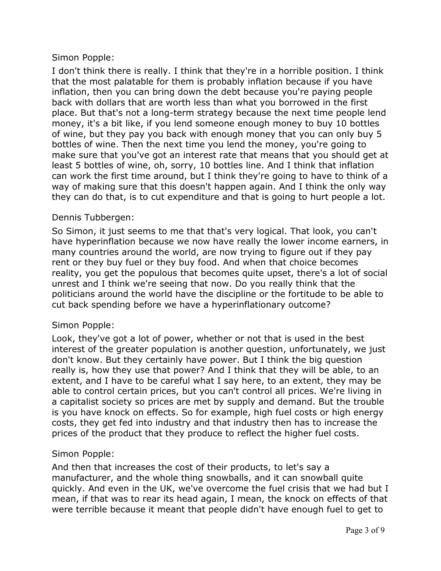I don't think there is really. I think that they're in a horrible position. I think that the most palatable for them is probably inflation because if you have inflation, then you can bring down the debt because you're paying people back with dollars that are worth less than what you borrowed in the first place. But that's not a long-term strategy because the next time people lend money, it's a bit like, if you lend someone enough money to buy 10 bottles of wine, but they pay you back with enough money that you can only buy 5 bottles of wine. Then the next time you lend the money, you're going to make sure that you've got an interest rate that means that you should get at least 5 bottles of wine, oh, sorry, 10 bottles line. And I think that inflation can work the first time around, but I think they're going to have to think of a way of making sure that this doesn't happen again. And I think the only way they can do that, is to cut expenditure and that is going to hurt people a lot.

## Dennis Tubbergen:

So Simon, it just seems to me that that's very logical. That look, you can't have hyperinflation because we now have really the lower income earners, in many countries around the world, are now trying to figure out if they pay rent or they buy fuel or they buy food. And when that choice becomes reality, you get the populous that becomes quite upset, there's a lot of social unrest and I think we're seeing that now. Do you really think that the politicians around the world have the discipline or the fortitude to be able to cut back spending before we have a hyperinflationary outcome?

## Simon Popple:

Look, they've got a lot of power, whether or not that is used in the best interest of the greater population is another question, unfortunately, we just don't know. But they certainly have power. But I think the big question really is, how they use that power? And I think that they will be able, to an extent, and I have to be careful what I say here, to an extent, they may be able to control certain prices, but you can't control all prices. We're living in a capitalist society so prices are met by supply and demand. But the trouble is you have knock on effects. So for example, high fuel costs or high energy costs, they get fed into industry and that industry then has to increase the prices of the product that they produce to reflect the higher fuel costs.

## Simon Popple:

And then that increases the cost of their products, to let's say a manufacturer, and the whole thing snowballs, and it can snowball quite quickly. And even in the UK, we've overcome the fuel crisis that we had but I mean, if that was to rear its head again, I mean, the knock on effects of that were terrible because it meant that people didn't have enough fuel to get to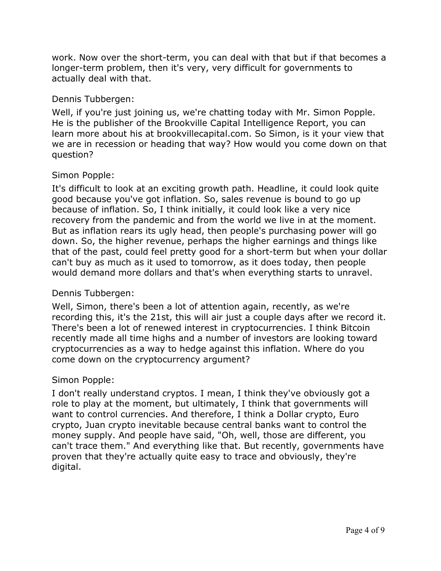work. Now over the short-term, you can deal with that but if that becomes a longer-term problem, then it's very, very difficult for governments to actually deal with that.

## Dennis Tubbergen:

Well, if you're just joining us, we're chatting today with Mr. Simon Popple. He is the publisher of the Brookville Capital Intelligence Report, you can learn more about his at brookvillecapital.com. So Simon, is it your view that we are in recession or heading that way? How would you come down on that question?

# Simon Popple:

It's difficult to look at an exciting growth path. Headline, it could look quite good because you've got inflation. So, sales revenue is bound to go up because of inflation. So, I think initially, it could look like a very nice recovery from the pandemic and from the world we live in at the moment. But as inflation rears its ugly head, then people's purchasing power will go down. So, the higher revenue, perhaps the higher earnings and things like that of the past, could feel pretty good for a short-term but when your dollar can't buy as much as it used to tomorrow, as it does today, then people would demand more dollars and that's when everything starts to unravel.

# Dennis Tubbergen:

Well, Simon, there's been a lot of attention again, recently, as we're recording this, it's the 21st, this will air just a couple days after we record it. There's been a lot of renewed interest in cryptocurrencies. I think Bitcoin recently made all time highs and a number of investors are looking toward cryptocurrencies as a way to hedge against this inflation. Where do you come down on the cryptocurrency argument?

# Simon Popple:

I don't really understand cryptos. I mean, I think they've obviously got a role to play at the moment, but ultimately, I think that governments will want to control currencies. And therefore, I think a Dollar crypto, Euro crypto, Juan crypto inevitable because central banks want to control the money supply. And people have said, "Oh, well, those are different, you can't trace them." And everything like that. But recently, governments have proven that they're actually quite easy to trace and obviously, they're digital.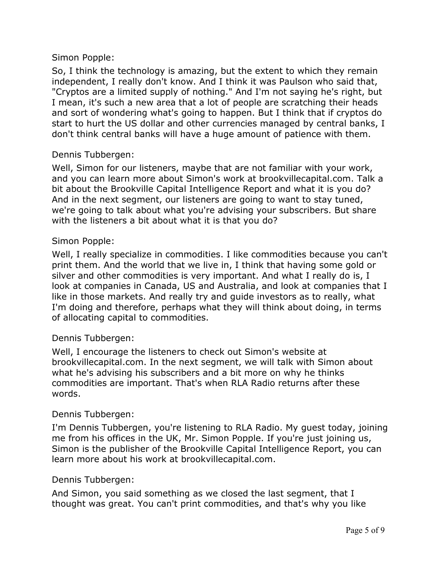So, I think the technology is amazing, but the extent to which they remain independent, I really don't know. And I think it was Paulson who said that, "Cryptos are a limited supply of nothing." And I'm not saying he's right, but I mean, it's such a new area that a lot of people are scratching their heads and sort of wondering what's going to happen. But I think that if cryptos do start to hurt the US dollar and other currencies managed by central banks, I don't think central banks will have a huge amount of patience with them.

## Dennis Tubbergen:

Well, Simon for our listeners, maybe that are not familiar with your work, and you can learn more about Simon's work at brookvillecapital.com. Talk a bit about the Brookville Capital Intelligence Report and what it is you do? And in the next segment, our listeners are going to want to stay tuned, we're going to talk about what you're advising your subscribers. But share with the listeners a bit about what it is that you do?

## Simon Popple:

Well, I really specialize in commodities. I like commodities because you can't print them. And the world that we live in, I think that having some gold or silver and other commodities is very important. And what I really do is, I look at companies in Canada, US and Australia, and look at companies that I like in those markets. And really try and guide investors as to really, what I'm doing and therefore, perhaps what they will think about doing, in terms of allocating capital to commodities.

## Dennis Tubbergen:

Well, I encourage the listeners to check out Simon's website at brookvillecapital.com. In the next segment, we will talk with Simon about what he's advising his subscribers and a bit more on why he thinks commodities are important. That's when RLA Radio returns after these words.

#### Dennis Tubbergen:

I'm Dennis Tubbergen, you're listening to RLA Radio. My guest today, joining me from his offices in the UK, Mr. Simon Popple. If you're just joining us, Simon is the publisher of the Brookville Capital Intelligence Report, you can learn more about his work at brookvillecapital.com.

#### Dennis Tubbergen:

And Simon, you said something as we closed the last segment, that I thought was great. You can't print commodities, and that's why you like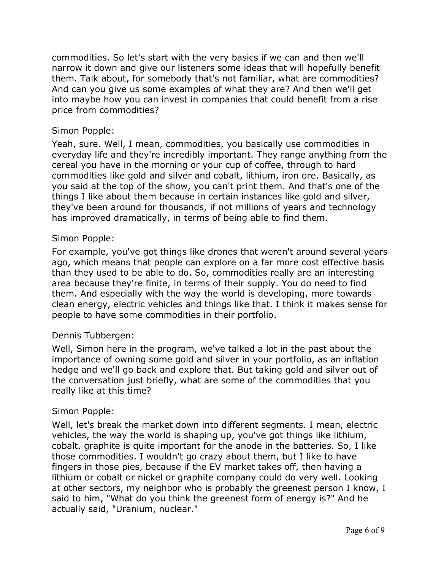commodities. So let's start with the very basics if we can and then we'll narrow it down and give our listeners some ideas that will hopefully benefit them. Talk about, for somebody that's not familiar, what are commodities? And can you give us some examples of what they are? And then we'll get into maybe how you can invest in companies that could benefit from a rise price from commodities?

## Simon Popple:

Yeah, sure. Well, I mean, commodities, you basically use commodities in everyday life and they're incredibly important. They range anything from the cereal you have in the morning or your cup of coffee, through to hard commodities like gold and silver and cobalt, lithium, iron ore. Basically, as you said at the top of the show, you can't print them. And that's one of the things I like about them because in certain instances like gold and silver, they've been around for thousands, if not millions of years and technology has improved dramatically, in terms of being able to find them.

## Simon Popple:

For example, you've got things like drones that weren't around several years ago, which means that people can explore on a far more cost effective basis than they used to be able to do. So, commodities really are an interesting area because they're finite, in terms of their supply. You do need to find them. And especially with the way the world is developing, more towards clean energy, electric vehicles and things like that. I think it makes sense for people to have some commodities in their portfolio.

## Dennis Tubbergen:

Well, Simon here in the program, we've talked a lot in the past about the importance of owning some gold and silver in your portfolio, as an inflation hedge and we'll go back and explore that. But taking gold and silver out of the conversation just briefly, what are some of the commodities that you really like at this time?

#### Simon Popple:

Well, let's break the market down into different segments. I mean, electric vehicles, the way the world is shaping up, you've got things like lithium, cobalt, graphite is quite important for the anode in the batteries. So, I like those commodities. I wouldn't go crazy about them, but I like to have fingers in those pies, because if the EV market takes off, then having a lithium or cobalt or nickel or graphite company could do very well. Looking at other sectors, my neighbor who is probably the greenest person I know, I said to him, "What do you think the greenest form of energy is?" And he actually said, "Uranium, nuclear."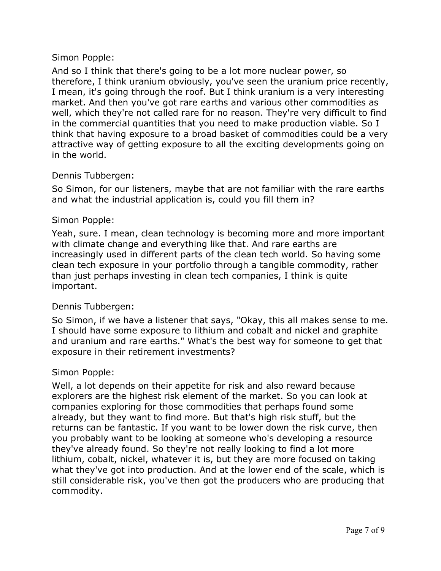And so I think that there's going to be a lot more nuclear power, so therefore, I think uranium obviously, you've seen the uranium price recently, I mean, it's going through the roof. But I think uranium is a very interesting market. And then you've got rare earths and various other commodities as well, which they're not called rare for no reason. They're very difficult to find in the commercial quantities that you need to make production viable. So I think that having exposure to a broad basket of commodities could be a very attractive way of getting exposure to all the exciting developments going on in the world.

## Dennis Tubbergen:

So Simon, for our listeners, maybe that are not familiar with the rare earths and what the industrial application is, could you fill them in?

## Simon Popple:

Yeah, sure. I mean, clean technology is becoming more and more important with climate change and everything like that. And rare earths are increasingly used in different parts of the clean tech world. So having some clean tech exposure in your portfolio through a tangible commodity, rather than just perhaps investing in clean tech companies, I think is quite important.

## Dennis Tubbergen:

So Simon, if we have a listener that says, "Okay, this all makes sense to me. I should have some exposure to lithium and cobalt and nickel and graphite and uranium and rare earths." What's the best way for someone to get that exposure in their retirement investments?

#### Simon Popple:

Well, a lot depends on their appetite for risk and also reward because explorers are the highest risk element of the market. So you can look at companies exploring for those commodities that perhaps found some already, but they want to find more. But that's high risk stuff, but the returns can be fantastic. If you want to be lower down the risk curve, then you probably want to be looking at someone who's developing a resource they've already found. So they're not really looking to find a lot more lithium, cobalt, nickel, whatever it is, but they are more focused on taking what they've got into production. And at the lower end of the scale, which is still considerable risk, you've then got the producers who are producing that commodity.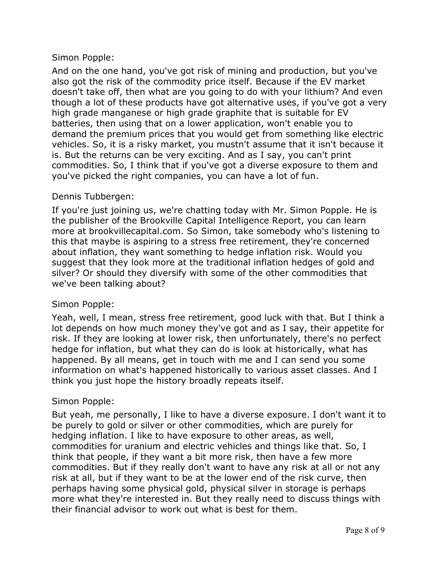And on the one hand, you've got risk of mining and production, but you've also got the risk of the commodity price itself. Because if the EV market doesn't take off, then what are you going to do with your lithium? And even though a lot of these products have got alternative uses, if you've got a very high grade manganese or high grade graphite that is suitable for EV batteries, then using that on a lower application, won't enable you to demand the premium prices that you would get from something like electric vehicles. So, it is a risky market, you mustn't assume that it isn't because it is. But the returns can be very exciting. And as I say, you can't print commodities. So, I think that if you've got a diverse exposure to them and you've picked the right companies, you can have a lot of fun.

## Dennis Tubbergen:

If you're just joining us, we're chatting today with Mr. Simon Popple. He is the publisher of the Brookville Capital Intelligence Report, you can learn more at brookvillecapital.com. So Simon, take somebody who's listening to this that maybe is aspiring to a stress free retirement, they're concerned about inflation, they want something to hedge inflation risk. Would you suggest that they look more at the traditional inflation hedges of gold and silver? Or should they diversify with some of the other commodities that we've been talking about?

## Simon Popple:

Yeah, well, I mean, stress free retirement, good luck with that. But I think a lot depends on how much money they've got and as I say, their appetite for risk. If they are looking at lower risk, then unfortunately, there's no perfect hedge for inflation, but what they can do is look at historically, what has happened. By all means, get in touch with me and I can send you some information on what's happened historically to various asset classes. And I think you just hope the history broadly repeats itself.

## Simon Popple:

But yeah, me personally, I like to have a diverse exposure. I don't want it to be purely to gold or silver or other commodities, which are purely for hedging inflation. I like to have exposure to other areas, as well, commodities for uranium and electric vehicles and things like that. So, I think that people, if they want a bit more risk, then have a few more commodities. But if they really don't want to have any risk at all or not any risk at all, but if they want to be at the lower end of the risk curve, then perhaps having some physical gold, physical silver in storage is perhaps more what they're interested in. But they really need to discuss things with their financial advisor to work out what is best for them.